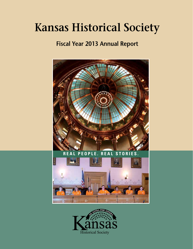# **Kansas Historical Society**

# **Fiscal Year 2013 Annual Report**



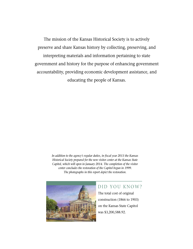The mission of the Kansas Historical Society is to actively preserve and share Kansas history by collecting, preserving, and interpreting materials and information pertaining to state government and history for the purpose of enhancing government accountability, providing economic development assistance, and educating the people of Kansas.

> *In addition to the agency's regular duties, in fiscal year 2013 the Kansas Historical Society prepared for the new visitor center at the Kansas State Capitol, which will open in January 2014. The completion of the visitor center concludes the restoration of the Capitol begun in 1999. The photographs in this report depict the restoration.*



### DID YOU KNOW?

The total cost of original construction (1866 to 1903) on the Kansas State Capitol was \$3,200,588.92.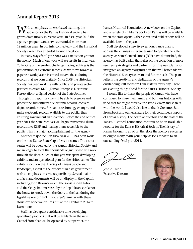### **Annual Report 2013**

**Tith an emphasis on web-based learning, the** audience for the Kansas Historical Society has grown dramatically in recent years. In fiscal year 2013 the agency's programs and services recorded more than 12 million users. In our interconnected world the Historical Society's reach has extended around the globe.

In many ways fiscal year 2013 was a transition year for the agency. Much of our work will see results in fiscal year 2014. One of the greatest challenges facing archives is the preservation of electronic records. As we move toward a paperless workplace it is critical to save the enduring records that are born digitally. Since 2009 the Historical Society has been working with public and private sector partners to create KEEP (Kansas Enterprise Electronic Preservation), a digital version of the State Archives. Through this repository we will be able to preserve and protect the authenticity of electronic records, convert digital records to new formats as technology changes, and make electronic records available to the public, thus ensuring government transparency. Before the end of fiscal year 2014 the State Archives will begin transferring digital records into KEEP and making them accessible to the public. This is a major accomplishment for the agency.

Another major focus in fiscal year 2013 has been work on the new Kansas State Capitol visitor center. The visitor center will be operated by the Kansas Historical Society and we are eager to greet the thousands of guests who will walk through the door. Much of this year was spent developing exhibits and an operational plan for the visitor center. The exhibits focus on the diversity of Kansas people and landscapes, as well as the history of Kansas government with an emphasis on civic responsibility. Several major artifacts and documents will be on display in the Capitol, including John Brown's sword, the Kansas Constitution, and the sledge hammer used by the Republican speaker of the house to knock down the doors to the hall during the legislative war of 1893. If you aren't familiar with these stories we hope you will visit us at the Capitol in 2014 to learn more.

Staff has also spent considerable time developing specialized products that will be available in the new Capitol Store that will be operated by our partner, the Kansas Historical Foundation. A new book on the Capitol and a variety of children's books on Kansas will be available when the store opens. Other specialized publications will be available later in the year.

Staff developed a new five-year long-range plan to address the changes in revenues used to operate the state agency. As State General Funds (SGF) have diminished, the agency has built a plan that relies on the collection of more user fees, private gifts and partnerships. The new plan also instigated an agency reorganization that will better address the Historical Society's current and future needs. The plan reflects the creativity and dedication of the agency's outstanding staff to whom I am grateful every day. There are exciting things ahead for the Kansas Historical Society!

I would like to thank the people of Kansas who have continued to share their family and business histories with us so that we might preserve the state's legacy and share it with the world. I would also like to thank Governor Sam Brownback and our legislature for their continued support of Kansas history. The board of directors and the staff of the Kansas Historical Foundation continue to be an invaluable resource for the Kansas Historical Society. The history of Kansas belongs to all of us; therefore the agency's successes belong to many. With your help we look forward to an outstanding fiscal year 2014.

Jennie Chinn Executive Director

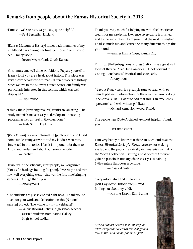### **Remarks from people about the Kansas Historical Society in 2013.**

"Fantastic website, very easy to use, quite helpful." —Paul Berczeller, England

"[Kansas Museum of History] brings back memories of my childhood days during war time. So nice and so much to see. [Smiley face]"

—JoAnn Meyer, Clark, South Dakota

"Great museum, well done exhibitions. Prepare yourself to learn a lot if you are a freak about history. This place was very nicely decorated with many different facets of history. Since we live in the Midwest United States, our family was particularly interested in this section, which was well displayed."

—TripAdvisor

"I think these [traveling resource] trunks are amazing. The study materials make it easy to develop an interesting program as well as [use] in the classroom." —Anita Smith, Fredonia

"[*Kid's Kansas*] is a very informative [publication] and I used some fun learning activities and my kiddoes were very interested in the stories. I feel it is important for them to know and understand about our awesome state. —Teacher

Flexibility in the schedule, great people, well-organized [Kansas Archeology Training Program]. I was so pleased with how well everything went – this was the first time bringing students… A huge thank you!

—Anonymous

"The students are just so excited right now…Thank you so much for your work and dedication on this [National Register] project. The whole town will celebrate!"

> —Valerie Brown-Kuchera, high school teacher, assisted students nominating Oakley High School stadium

Thank you very much for helping me with the historic tax credits for my project in Lawrence. Everything is finished and to the accountant. I am sorry that the work is finished. I had so much fun and learned so many different things this go around.

—Jennifer Hanna Coen, Kansas City

This stop [Hollenberg Pony Express Station] was a great visit to what they call "Far Flung America." I look forward to visiting more Kansas historical and state parks.

—Anonymous

"[*Kansas Preservation]* is a great pleasure to read; with so much pertinent information for the area; the farm is along the Santa Fe Trail. I want to add that this is an excellently presented and well written publication.

—Richard Kern, Hollywood, Florida

The people here [State Archives] are most helpful. Thank you.

—First time visitor

I am very happy to know that there are such outlets as the Kansas Historical Society's [*Kansas Memory*] for making available to the public historically rich materials as that of the Worrall collection. Getting a hold of early American guitar repertoire is not anywhere as easy as obtaining 19th-century European repertoire.

—Classical guitarist

"Very informative and interesting [Fort Hays State Historic Site]—loved finding out about my soldier! —Kristine Tippin, Ellis, Kansas

*A wood cylinder believed to be an original relief vent for the boiler was found at ground level in the main building of the Capitol.*

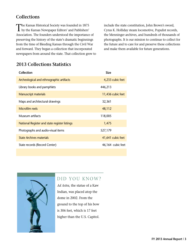### **Collections**

The Kansas Historical Society was founded in 1875 by the Kansas Newspaper Editors' and Publishers' Association. The founders understood the importance of preserving the history of the state's dramatic beginnings from the time of Bleeding Kansas through the Civil War and forward. They began a collection that incorporated newspapers from around the state. That collection grew to

include the state constitution, John Brown's sword, Cyrus K. Holliday steam locomotive, Populist records, the Menninger archives, and hundreds of thousands of photographs. It is our mission to continue to collect for the future and to care for and preserve these collections and make them available for future generations.

### **2013 Collections Statistics**

| Collection                                    | <b>Size</b>       |
|-----------------------------------------------|-------------------|
| Archeological and ethnographic artifacts      | 4,233 cubic feet  |
| Library books and pamphlets                   | 446,213           |
| <b>Manuscript materials</b>                   | 11,436 cubic feet |
| Maps and architectural drawings               | 32,361            |
| Microfilm reels                               | 48,112            |
| Museum artifacts                              | 118,005           |
| National Register and state register listings | 1,475             |
| Photographs and audio-visual items            | 527,179           |
| <b>State Archives materials</b>               | 41,641 cubic feet |
| State records (Record Center)                 | 46,164 cubic feet |
|                                               |                   |



### DID YOU KNOW?

*Ad Astra*, the statue of a Kaw Indian, was placed atop the dome in 2002. From the ground to the top of his bow is 306 feet, which is 17 feet higher than the U.S. Capitol.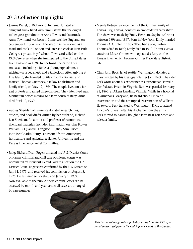# **2013 Collection Highlights**

- Joanne Passet, of Richmond, Indiana, donated an emigrant trunk filled with family items that belonged to her great-grandmother Anna Townsend Quantock. Anna Townsend was born in Somersetshire, England, on September 1, 1864. From the age of 14 she worked as a maid and cook in London and later as a cook at Eton Park College, a private boys' school. Townsend sailed on the *RMS Campania* when she immigrated to the United States from England in 1894. In her trunk she carried her trousseau, including a Bible, a photograph album, a nightgown, a bed sheet, and a tablecloth. After arriving at Ellis Island, she traveled to Riley County, Kansas, and married Thomas Quantock, a fellow Englishman and family friend, on May 12, 1894. The couple lived on a farm east of Keats and raised three children. They later lived near Manhattan before moving to a farm south of Riley. Anna died April 10, 1930.
- Audrey Sheridan of Lawrence donated research files, articles, and book drafts written by her husband, Richard Bert Sheridan. An author and professor of economics, Sheridan's materials included information on John Brown; William C. Quantrill; Langston Hughes; Sam Elliott; John Ise; Charles Henry Langston; African Americans; horticulture and agriculture; Haskell University; and the Kansas Emergency Relief Committee.
- Judge Richard Dean Rogers donated his U. S. District Court of Kansas criminal and civil case opinions. Rogers was nominated by President Gerald Ford to a seat on the U.S. District Court. Rogers was confirmed by the U.S. Senate on July 31, 1975, and received his commission on August 5, 1975. He assumed senior status on January 1, 1989. Now available to the public, these criminal cases can be accessed by month and year; and civil cases are arranged by case number.
- Meryle Hotujac, a descendent of the Grinter family of Kansas City, Kansas, donated an embroidered baby shawl. The shawl was made by Emily Henrietta Stephens Grinter between 1896 and 1897. Born in New York, Emily married Thomas A. Grinter in 1865. They had a son, Linton. Thomas died in 1892; Emily died in 1912. Thomas was a cousin of Moses Grinter, who operated a ferry on the Kansas River, which became Grinter Place State Historic Site.
- Clark John Beck, Jr., of Seattle, Washington, donated a diary written by his great-grandfather John Beck. The elder Beck wrote about his experience as a prisoner at Danville Confederate Prison in Virginia. Beck was paroled February 21, 1865, at Aikens Landing, Virginia. While in a hospital at Annapolis, Maryland, he heard about Lincoln's assassination and the attempted assassination of William H. Seward. Beck traveled to Washington, D.C., to attend Lincoln's funeral. After his discharge from the army, Beck moved to Kansas, bought a farm near Fort Scott, and raised a family.

*This pair of rubber galoshes, probably dating from the 1930s, was found under a subfloor in the Old Supreme Court at the Capitol.*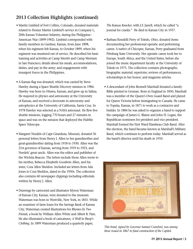# **2013 Collection Highlights (continued)**

- Martin Limbird of Fort Collins, Colorado, donated materials related to Homer Martin Limbird's service in Company L, 20th Kansas Volunteer Infantry, during the Philippine– American War (1899-1902). Limbird corresponded with family members in Gardner, Kansas, from June 1898, when his regiment left Kansas, to October 1899, when his regiment was mustered out of service. He described his basic training and activities at Camp Merritt and Camp Merriam in San Francisco; details about his meals, accommodations, duties, and pay in the army; and engagements with insurgent forces in the Philippines.
- A Kansas flag was donated, which was carried by Steve Hawley during a Space Shuttle *Discovery* mission in 1984. Hawley was born in Ottawa, Kansas, and grew up in Salina. He majored in physics and astronomy at the University of Kansas, and received a doctorate in astronomy and astrophysics at the University of California, Santa Cruz. In 1978 Hawley was selected as a NASA astronaut. He flew five shuttle missions, logging 770 hours and 27 minutes in space and was on the mission that deployed the Hubble Space Telescope.
- Margaret Needels of Cape Girardeau, Missouri, donated 36 personal letters from Henry J. Allen to her grandmother and great-grandmother dating from 1918 to 1930. Allen was the 21st governor of Kansas, serving from 1919 to 1923, and Needels' great uncle. Allen was the editor and publisher of the Wichita Beacon. The letters include those Allen wrote to his mother, Rebecca Elizabeth Goodwin Allen, and his sister, Cora Allen Sheldon. Included are letters from Ada Jones to Cora Sheldon, dated in the 1950s. The collection also contains 60 newspaper clippings including editorials written by Henry J. Allen.
- Drawings by cartoonist and illustrator Myron Waterman of Kansas City, Kansas, were donated to the museum. Waterman was born in Westville, New York, in 1855. While an examiner of farm loans for the Savings Bank of Kansas City, Waterman created illustrations for *Rhymes by Two Friends*, a book by William Allen White and Albert B. Pain. He also illustrated a book of caricatures, *A Wolf in Sheep's Clothing*. In 1899 Waterman produced a quarterly paper,

*The Kansas Knocker*, with J.F. Jarrell, which he called "a journal for cranks." He died in Kansas City in 1937.

- Barbara Rondelli Perry of Toledo, Ohio, donated items documenting her professional operatic and performing career. A native of Chicopee, Kansas, Perry graduated from Pittsburg State University. Her operatic career took her to Europe, South Africa, and the United States, before she joined the music department faculty at the University of Toledo in 1975. The collection contains photographs; biographic material; repertoire; reviews of performances; scholarships in her honor; and magazine articles.
- A descendant of John Bromell Marshall donated a family Bible printed in German. Born in England in 1850, Marshall was a member of the Queen's Own Guard Band and played for Queen Victoria before immigrating to Canada. He came to Topeka, Kansas, in 1871 to work as a contractor and builder. In 1884 he was asked to organize a band to support the campaign of James G. Blaine and John H. Logan, the Republican nominees for president and vice president. Marshall formed the First Ward Flambeau Club Band. After the election, the band became known as Marshall's Military Band, which continues to perform today. Marshall served as the band's director until his death in 1910.



*This bond, signed by Governor Samuel Crawford, was among those issued in 1867 to fund construction of the Capitol.*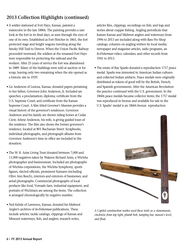# **2013 Collection Highlights (continued)**

- A soldier stationed at Fort Hays, Kansas, painted a watercolor in the late 1880s. The painting provides a rare look at the fort in its final days, as seen through the eyes of one of its own. Established as Fort Fletcher in 1865, the fort protected stage and freight wagons traveling along the Smoky Hill Trail to Denver. When the Union Pacific Railway proceeded westward, the soldiers at the renamed Fort Hays were responsible for protecting the railroad and the workers. After 25 years of service the fort was abandoned in 1889. Many of the buildings were sold at auction or for scrap, leaving only two remaining when the site opened as a historic site in 1929.
- Liz Anderson of Lenexa, Kansas, donated papers pertaining to her father, Governor John Anderson, Jr. Included are speeches; a proclamation; diploma; certificate from the U.S. Supreme Court; and certificate from the Kansas Supreme Court. A film titled *Governor's Mansion* provides a visual history of the governor's residences. Governor Anderson and his family are shown riding horses at Cedar Crest; Arlene Anderson, his wife, is giving guided tours of the residence. The film also shows the former governor's residence, located at 801 Buchanan Street. Scrapbooks, individual photographs, and photograph albums from Governor Anderson's time in office are included in the donation.
- The W. R. Azim Living Trust donated between 7,000 and 11,000 negatives taken by Wakeen Richard Azim, a Wichita photographer and businessman. Included are photographs of Wichita corporations, the Wichita Symphony, sports figures, elected officials, prominent Kansans (including Olive Ann Beech), interiors and exteriors of businesses, and aerial photographs. Commercial photographs of local products like food, Vornado fans, industrial equipment, and portraits of Wichitans are among the items. The collection is arranged chronologically by negative number.
- Ned Kehde of Lawrence, Kansas, donated his Midwest Angler's archives of *In-Fisherman* publications. These include articles; tackle catalogs; clippings of Kansas and Missouri waterways, fish, and anglers; research notes,

articles files, clippings, recordings on fish; and logs and stories about crappie fishing. Angling periodicals that feature Kansas and Midwest anglers and waterways from 1996 to 2013 are included along with Bass Pro Shop catalogs; columns on angling written by local media; newspaper and magazine articles, radio programs, an *In-Fisherman* video; calendars; and other records from 1941 to 2013.

• The estate of Ray Sparks donated a reproduction 1757 peace medal. Sparks was interested in American Indian cultures and collected Indian artifacts. Peace medals were originally distributed as tokens of good will by the British, French, and Spanish governments. After the American Revolution the practice continued with the U.S. government. In the 1860s peace medals became collector items; the 1757 medal was reproduced in bronze and available for sale in the U.S. Sparks' medal is an 1860s bronze reproduction.



*A Capitol construction worker used these tools as a stonemason, clockwise from top right, plumb bob, tamping bar, mason's level, and float.*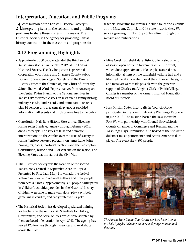## **Interpretation, Education, and Public Programs**

 $\bigwedge$  core mission of the Kansas Historical Society is interpreting items in the collections and providing programs to share those stories with Kansans. The Historical Society is the agency for providing Kansas history curriculum in the classroom and programs for

# **2013 Programming Highlights**

- Approximately 300 people attended the third annual Kansas Ancestor Fair in October 2012, at the Kansas Historical Society. The day-long event is presented in cooperation with Topeka and Shawnee County Public Library, Topeka Genealogical Society, and the Family History Center of the Church of Jesus Christ of Latter-day Saints–Sherwood Ward. Representatives from Ancestry and the Central Plains Branch of the National Archives in Kansas City presented classes on researching family history, military records, land records, and immigration records, plus 14 vendors and area genealogy groups provided information. All events and displays were free to the public.
- Constitution Hall State Historic Site's annual Bleeding Kansas series Sundays, January through February 2013, drew 475 people. The series of talks and dramatic interpretations on the conflict over the issue of slavery in Kansas Territory featured programs on James Lane, John Brown, Jr.'s, codes, territorial elections and the Lecompton Constitution, historic and Civil War sites in the region, and Bleeding Kansas at the start of the Civil War.
- The Historical Society was the location of the second Kansas Book Festival in September 2012, in Topeka. Presented by First Lady Mary Brownback, the festival featured national and regional authors and drew people from across Kansas. Approximately 300 people participated in children's activities provided by the Historical Society. Children were able to make yarn dolls, play a symbols game, make candles, and carry water with a yoke.
- The Historical Society has developed specialized training for teachers on the new Kansas Standards for History, Government, and Social Studies, which were adopted by the state board of education in April 2013. The agency has served 420 teachers through in-services and workshops across the state.

teachers. Programs for families include tours and exhibits at the Museum, Capitol, and 16 state historic sites. We serve a growing number of people online through our website and publications.

- Mine Creek Battlefield State Historic Site hosted an end of season open house in November 2012. The event, which drew approximately 100 people, featured new informational signs on the battlefield walking trail and a life-sized metal art cavalryman at the entrance. The signs and metal art were made possible with the generous support of Charles and Virginia Clark of Prairie Village. Charles is a member of the Kansas Historical Foundation Board of Directors.
- Kaw Mission State Historic Site in Council Grove participated in the community-wide Washunga Days event in June 2013. The mission hosted the Kaw Intertribal Pow Wow in partnership with Council Grove/Morris County Chamber of Commerce and Tourism and the Washunga Days Committee. Also hosted at the site were a dulcimer music performance and Native American flute player. The event drew 805 people.



*The Kansas State Capitol Tour Center provided historic tours to 33,641 people, including many school groups from around the state.*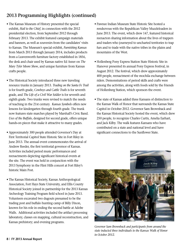# **2013 Programming Highlights (continued)**

- The Kansas Museum of History presented the special exhibit, *Hail to the Chief*, in connection with the 2012 presidential election, from September 2012 through February 2013. The exhibit featured campaign materials and banners, as well as souvenirs from the candidates' visits to Kansas. The Museum's special exhibit, *Furnishing Kansas* from March 2013 through January 2014, includes products from a Leavenworth furniture factory established in 1856, the desk and chair used by Kansas native Ed Asner on *The Mary Tyler Moore Show*, and unique furniture from Kansas crafts people.
- The Historical Society introduced three new traveling resource trunks in January 2013. *Trading on the Santa Fe Trail* is for fourth grade, *Cowboys and Cattle Trails* is for seventh grade, and *The Life of a Civil War Soldier* is for seventh and eighth grade. Two trunks were revised to match the needs of teaching in the 21st century. *Kansas Symbols* offers new lessons for kindergarten through fourth grade. The trunk now features state marches played by Marshall's Civic Band. *Uses of the Buffalo*, designed for second grade, offers unique hands-on pieces that make it attractive to many grades.
- Approximately 300 people attended Governor's Day at First Territorial Capitol State Historic Site in Fort Riley in June 2013. The annual event commemorates the arrival of Andrew Reeder, the first territorial governor of Kansas. Activities included period music performances and reenactments depicting significant historical events at the site. The event was held in conjunction with the 2013 Symphony in the Flint Hills concert at Fort Riley's historic Main Post.
- The Kansas Historical Society, Kansas Anthropological Association, Fort Hays State University, and Ellis County Historical Society joined in partnership for the 2013 Kansas Archeology Training Program field school in June 2013. Volunteers excavated two dugouts presumed to be the trading post and buffalo hunting camp of Billy Dixon, known for his role in ending the second battle at Adobe Walls. Additional activities included the artifact processing laboratory, classes on mapping, cultural reconstruction, and Kansas prehistory; and evening programs.
- Pawnee Indian Museum State Historic Site hosted a rendezvous with the Republican Valley Muzzleloaders in June 2013. The event, which drew 147, featured historical reenactors sharing information about the lives of trappers and traders who journeyed to uncharted territories to trap furs and to trade with the native tribes in the plains and mountains of the West.
- Hollenberg Pony Express Station State Historic Site in Hanover presented its annual Pony Express Festival, in August 2012. The festival, which drew approximately 400 people, reenactment of the mochila exchange between riders. Demonstrations of period skills and crafts were among the activities, along with foods sold by the Friends of Hollenberg Station, which sponsors the event.
- The state of Kansas added three Kansans of distinction to the Kansas Walk of Honor that surrounds the Kansas State Capitol in October 2012. Governor Sam Brownback and the Kansas Historical Society hosted the event, which drew 250 people, to recognize Charles Curtis, Amelia Earhart, and Jack Kilby. The walk features Kansans who have contributed on a state and national level and have significant connections to the Sunflower State.



*Governor Sam Brownback and participants from around the state inducted three individuals to the Kansas Walk of Honor in October 2012.*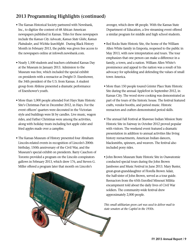# **2013 Programming Highlights (continued)**

- The Kansas Historical Society partnered with Newsbank, Inc., to digitize the content of 68 African American newspapers published in Kansas. Titles for these newspapers include the *Kansas City Advocate*, *Kansas State Globe*, *Kansas Plaindealer*, and *Wichita Searchlight*. During Black History Month in February 2013, the public was given free access to the newspapers online at infoweb.newsbank.com.
- Nearly 1,500 students and teachers celebrated Kansas Day at the Museum in January 2013. Admission to the Museum was free, which included the special exhibit on presidents with a reenactor as Dwight D. Eisenhower, the 34th president of the U.S. from Kansas. A student group from Abilene presented a dramatic performance of Eisenhower's youth.
- More than 1,000 people attended Fort Hays State Historic Site's Christmas Past in December 2012, in Hays. For the event officers' quarters were decorated in the Victorian style and buildings were lit by candles. Live music, wagon rides, and Father Christmas were among the activities, along with holiday treats including hot apple cider and fried apples made over a campfire.
- The Kansas Museum of History presented four Abraham Lincoln-related events in recognition of Lincoln's 200th birthday, 150th anniversary of the Civil War, and the Museum's special exhibit on presidents. Barry Cauchon of Toronto provided a program on the Lincoln conspirators gallows in February 2013, which drew 176, and Steven G. Miller offered a program later that month on Lincoln's

 avenger, which drew 48 people. With the Kansas State Department of Education, a live streaming event offered a similar program for middle and high school students.

- Red Rocks State Historic Site, the home of the William Allen White family in Emporia, reopened to the public in May 2013, with new interpretation and tours. The tour emphasizes that one person can make a difference in a family, a town, and a nation. William Allen White's prominence and appeal to the nation was a result of his advocacy for upholding and defending the values of small town America.
- More than 150 people toured Grinter Place State Historic Site during the annual AppleFest in September 2012, in Kansas City. The wood stove cooking was demonstrated as part of the tours of the historic house. The festival featured crafts, vendor booths, and period music. Historic reenactors and crafters demonstrated period skills.
- The annual Fall Festival at Shawnee Indian Mission State Historic Site in Fairway in October 2012 proved popular with visitors. The weekend event featured a dramatic presentation in addition to annual activities like living history reenactments, American Indian dancers, blacksmiths, spinners, and weavers. The festival also included pony rides.
- John Brown Museum State Historic Site in Osawatomie conducted special tours during the John Brown Jamboree and Music Festival in June 2013. Mary Buster, great-great-granddaughter of Florella Brown Adair, the half-sister of John Brown, served as a tour guide. Reenactors from the 65th Enrolled Missouri Militia encampment told about the daily lives of Civil War soldiers. The community-wide festival drew approximately 2,000 people.

*This small utilitarian green cart was used to deliver mail to state senators at the Capitol in the 1930s.*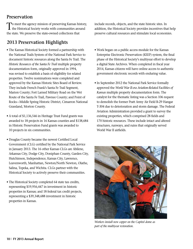### **Preservation**

To meet the agency mission of preserving Kansas history, the Historical Society works with communities around the state. We preserve the state-owned collections that

## **2013 Preservation Highlights**

- The Kansas Historical Society formed a partnership with the National Trails System of the National Park Service to document historic resources along the Santa Fe Trail. The *Historic Resources of the Santa Fe Trail* multiple property documentation form, originally approved in 1994, was revised to establish a basis of eligibility for related properties. Twelve nominations were completed and approved by the Kansas Historic Sites Board of Review. They include French Frank's Santa Fe Trail Segment, Marion County; Fort Larned Military Road on the Wet Route of the Santa Fe Trail, Pawnee County; and Point of Rocks—Middle Spring Historic District, Cimarron National Grassland, Morton County.
- A total of \$1,136,546 in Heritage Trust Fund grants was awarded to 18 projects in 16 Kansas counties and \$138,684 in Historic Preservation Fund grants was awarded to 10 projects in six communities.
- Douglas County became the newest Certified Local Government (CLG) certified by the National Park Service in January 2013. The 16 other Kansas CLGs are Abilene, Arkansas City, Dodge City, Doniphan County, Garden City, Hutchinson, Independence, Kansas City, Lawrence, Leavenworth, Manhattan, Newton/North Newton, Olathe, Salina, Topeka, and Wichita. CLGs partner with the Historical Society to actively preserve their communities.
- The Historical Society completed 64 state tax credits, representing \$19,956,447 in investment in historic properties in Kansas; and 18 federal tax credit projects, representing a \$39,348,688 investment in historic properties in Kansas.

include records, objects, and the state historic sites. In addition, the Historical Society provides incentives that help preserve cultural resources and stimulate local economies.

- Work began on a public access module for the Kansas Enterprise Electronic Preservation (KEEP) system, the final phase of the Historical Society's multiyear effort to develop a digital State Archives. When completed in fiscal year 2014, Kansas citizens will have online access to authentic government electronic records with enduring value.
- In September 2012 the National Park Service formally approved the *World War II-era Aviation-Related Facilities of Kansas* multiple property documentation form. The catalyst for the thematic listing was a Section 106 request to demolish the former Pratt Army Air Field B-29 Hangar T-304 due to deterioration and storm damage. The Federal Aviation Administration provided a grant to survey the existing properties, which comprised 28 fields and 170 historic resources. These include intact and altered structures, runways, and ruins that originally served World War II airfields.



*Workers install new copper on the Capitol dome as part of the multiyear restoration.*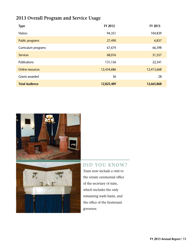# **2013 Overall Program and Service Usage**

| <b>Type</b>             | FY 2012    | FY 2013    |
|-------------------------|------------|------------|
| <b>Visitors</b>         | 94,351     | 104,839    |
| Public programs         | 27,490     | 6,837      |
| Curriculum programs     | 67,674     | 66,398     |
| <b>Services</b>         | 68,016     | 51,557     |
| <b>Publications</b>     | 131,156    | 22,541     |
| <b>Online resources</b> | 12,434,686 | 12,413,668 |
| Grants awarded          | 36         | 28         |
| <b>Total Audience</b>   | 12,823,409 | 12,665,868 |





### DID YOU KNOW?

Tours now include a visit to the ornate ceremonial office of the secretary of state, which includes the only remaining wash basin, and the office of the lieutenant governor.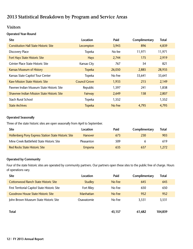# **2013 Statistical Breakdown by Program and Service Areas**

### **Visitors**

#### **Operated Year-Round**

| <b>Site</b>                                  | Location             | Paid   | Complimentary | <b>Total</b> |
|----------------------------------------------|----------------------|--------|---------------|--------------|
| <b>Constitution Hall State Historic Site</b> | Lecompton            | 3,943  | 896           | 4,839        |
| <b>Discovery Place</b>                       | Topeka               | No fee | 11,971        | 11,971       |
| <b>Fort Hays State Historic Site</b>         | <b>Hays</b>          | 2,744  | 175           | 2,919        |
| Grinter Place State Historic Site            | Kansas City          | 767    | 54            | 821          |
| <b>Kansas Museum of History</b>              | <b>Topeka</b>        | 26,050 | 2,885         | 28,935       |
| Kansas State Capitol Tour Center             | Topeka               | No Fee | 33,641        | 33,641       |
| <b>Kaw Mission State Historic Site</b>       | <b>Council Grove</b> | 1,933  | 215           | 2,149        |
| Pawnee Indian Museum State Historic Site     | Republic             | 1,597  | 241           | 1,838        |
| Shawnee Indian Mission State Historic Site   | Fairway              | 2,649  | 158           | 2,807        |
| <b>Stach Rural School</b>                    | Topeka               | 1,552  |               | 1,552        |
| <b>State Archives</b>                        | <b>Topeka</b>        | No Fee | 4,795         | 4,795        |

#### **Operated Seasonally**

Three of the state historic sites are open seasonally from April to September.

| Site                                                | Location       | Paid | Complimentary | Total |  |
|-----------------------------------------------------|----------------|------|---------------|-------|--|
| Hollenberg Pony Express Station State Historic Site | <b>Hanover</b> | 673  | 230           | 903   |  |
| Mine Creek Battlefield State Historic Site          | Pleasanton     | 509  |               | 619   |  |
| <b>Red Rocks State Historic Site</b>                | Emporia        | 635  | 637           | 1.272 |  |

#### **Operated by Community**

Four of the state historic sites are operated by community partners. Our partners open these sites to the public free of charge. Hours of operations vary.

| <b>Site</b>                                   | Location       | Paid   | Complimentary | Total   |
|-----------------------------------------------|----------------|--------|---------------|---------|
| <b>Cottonwood Ranch State Historic Site</b>   | <b>Studley</b> | No Fee | 645           | 645     |
| First Territorial Capitol State Historic Site | Fort Riley     | No Fee | 650           | 650     |
| <b>Goodnow House State Historic Site</b>      | Manhattan      | No Fee | 952           | 952     |
| John Brown Museum State Historic Site         | Osawatomie     | No Fee | 3,531         | 3,531   |
| Total                                         |                | 43,157 | 61,682        | 104,839 |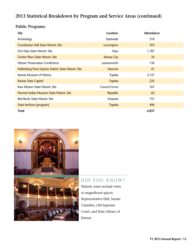### **Public Programs**

| <b>Site</b>                                         | Location           | Attendance |
|-----------------------------------------------------|--------------------|------------|
| Archeology                                          | Statewide          | 218        |
| <b>Constitution Hall State Historic Site</b>        | Lecompton          | 393        |
| Fort Hays State Historic Site                       | <b>Hays</b>        | 1,187      |
| <b>Grinter Place State Historic Site</b>            | <b>Kansas City</b> | 34         |
| <b>Historic Preservation Conference</b>             | Leavenworth        | 130        |
| Hollenberg Pony Express Station State Historic Site | <b>Hanover</b>     | 41         |
| Kansas Museum of History                            | Topeka             | 3,147      |
| <b>Kansas State Capitol</b>                         | <b>Topeka</b>      | 225        |
| Kaw Mission State Historic Site                     | Council Grove      | 167        |
| Pawnee Indian Museum State Historic Site            | Republic           | 62         |
| Red Rocks State Historic Site                       | Emporia            | 737        |
| <b>State Archives (program)</b>                     | <b>Topeka</b>      | 496        |
| <b>Total</b>                                        |                    | 6,837      |



### DID YOU KNOW?

Historic tours include visits to magnificent spaces: Representative Hall, Senate Chamber, Old Supreme Court, and State Library of Kansas.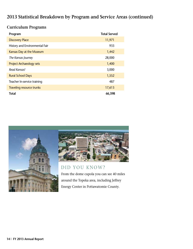### **Curriculum Programs**

| Program                          | <b>Total Served</b> |
|----------------------------------|---------------------|
| <b>Discovery Place</b>           | 11,971              |
| History and Environmental Fair   | 933                 |
| Kansas Day at the Museum         | 1,442               |
| The Kansas Journey               | 28,000              |
| <b>Project Archaeology sets</b>  | 1,400               |
| Read Kansas!                     | 3,000               |
| <b>Rural School Days</b>         | 1,552               |
| Teacher In-service training      | 487                 |
| <b>Traveling resource trunks</b> | 17,613              |
| <b>Total</b>                     | 66,398              |





### DID YOU KNOW?

From the dome cupola you can see 40 miles around the Topeka area, including Jeffrey Energy Center in Pottawatomie County.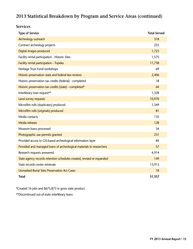### **Services**

| <b>Type of Service</b>                                                | <b>Total Served</b> |
|-----------------------------------------------------------------------|---------------------|
| Archeology outreach                                                   | 318                 |
| Contract archeology projects                                          | 255                 |
| Digital images produced                                               | 1,723               |
| Facility rental participation - Historic Sites                        | 1,575               |
| Facility rental participation - Topeka                                | 11,738              |
| Heritage Trust Fund workshops                                         | 69                  |
| Historic preservation state and federal law reviews                   | 2,406               |
| Historic preservation tax credits (federal) - completed               | 18                  |
| Historic preservation tax credits (state) - completed*                | 64                  |
| Interlibrary loan request**                                           | 1,328               |
| Land survey requests                                                  | 10,970              |
| Microfilm rolls (duplicates) produced                                 | 1,349               |
| Microfilm rolls (originals) produced                                  | 81                  |
| Media contacts                                                        | 135                 |
| <b>Media releases</b>                                                 | 128                 |
| Museum loans processed                                                | 34                  |
| Photographic use permits granted                                      | 231                 |
| Provided access to GIS-based archeological information layer          | 84                  |
| Provided and managed loans of archeological materials to researchers  | 57                  |
| Research requests answered                                            | 4,914               |
| State agency records retention schedules created, revised or expanded | 149                 |
| State records center retrievals                                       | 13,913              |
| <b>Unmarked Burial Sites Preservation Act Cases</b>                   | 18                  |
| <b>Total</b>                                                          | 51,557              |

\*Created 16 jobs and \$675,873 in gross state product.

\*\*Discontinued out-of-state interlibrary loans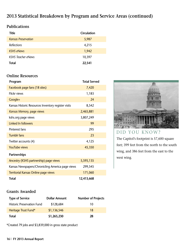### **Publications**

| Title                      | Circulation |
|----------------------------|-------------|
| <b>Kansas Preservation</b> | 5,987       |
| <b>Reflections</b>         | 4,215       |
| <b>KSHS eNews</b>          | 1,942       |
| <b>KSHS Teacher eNews</b>  | 10,397      |
| Total                      | 22,541      |

### **Online Resources**

| Program                                             | <b>Total Served</b> |
|-----------------------------------------------------|---------------------|
| Facebook page fans (18 sites)                       | 7,420               |
| Flickr views                                        | 1,183               |
| Google+                                             | 24                  |
| Kansas Historic Resources Inventory register visits | 8,542               |
| Kansas Memory, page views                           | 2,465,881           |
| kshs.org page views                                 | 3,807,249           |
| Linked In followers                                 | 99                  |
| Pinterest fans                                      | 295                 |
| <b>Tumblr fans</b>                                  | 23                  |
| Twitter accounts (4)                                | 4,125               |
| <b>YouTube views</b>                                | 45,350              |
| <b>Partnerships</b>                                 |                     |
| Ancestry (KSHS partnership) page views              | 5,595,135           |
| Kansas Newspapers/Chronicling America page views    | 299,545             |
| Territorial Kansas Online page views                | 171,060             |
| <b>Total</b>                                        | 12,413,668          |



## DID YOU KNOW?

The Capitol's footprint is 57,600 square feet; 399 feet from the north to the south wing, and 386 feet from the east to the west wing.

### **Grants Awarded**

| <b>Type of Service</b>            | <b>Dollar Amount</b> | <b>Number of Projects</b> |
|-----------------------------------|----------------------|---------------------------|
| <b>Historic Preservation Fund</b> | \$128,684            | 10                        |
| Heritage Trust Fund*              | \$1,136,546          | 18                        |
| Total                             | \$1,265,230          | 28                        |

\*Created 79 jobs and \$3,839,000 in gross state product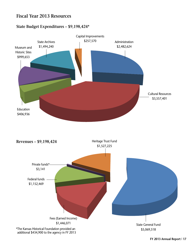### **Fiscal Year 2013 Resources**

### **State Budget Expenditures – \$9,198,424\***

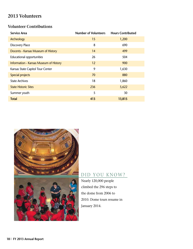### **2013 Volunteers**

### **Volunteer Contributions**

| <b>Service Area</b>                    | <b>Number of Volunteers</b> | <b>Hours Contributed</b> |
|----------------------------------------|-----------------------------|--------------------------|
| Archeology                             | 15                          | 1,200                    |
| <b>Discovery Place</b>                 | 8                           | 690                      |
| Docents - Kansas Museum of History     | 14                          | 499                      |
| <b>Educational opportunities</b>       | 26                          | 504                      |
| Information - Kansas Museum of History | 12                          | 900                      |
| Kansas State Capitol Tour Center       | 9                           | 1,630                    |
| Special projects                       | 70                          | 880                      |
| <b>State Archives</b>                  | 18                          | 1,860                    |
| <b>State Historic Sites</b>            | 236                         | 5,622                    |
| Summer youth                           | 5                           | 30                       |
| <b>Total</b>                           | 413                         | 13,815                   |



## DID YOU KNOW?

Nearly 120,000 people climbed the 296 steps to the dome from 2006 to 2010. Dome tours resume in January 2014.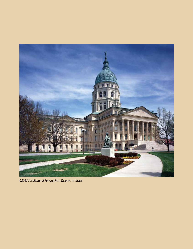

*©2013 Architectural Fotographics/Treanor Architects*